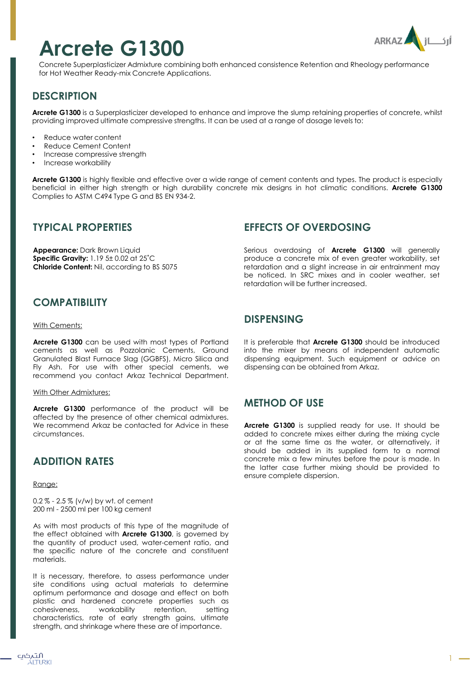# **Arcrete G1300**



Concrete Superplasticizer Admixture combining both enhanced consistence Retention and Rheology performance for Hot Weather Ready-mix Concrete Applications.

# **DESCRIPTION**

**Arcrete G1300** is a Superplasticizer developed to enhance and improve the slump retaining properties of concrete, whilst providing improved ultimate compressive strengths. It can be used at a range of dosage levels to:

- Reduce water content
- Reduce Cement Content
- Increase compressive strength
- Increase workability

**Arcrete G1300** is highly flexible and effective over a wide range of cement contents and types. The product is especially beneficial in either high strength or high durability concrete mix designs in hot climatic conditions. **Arcrete G1300** Complies to ASTM C494 Type G and BS EN 934-2.

## **TYPICAL PROPERTIES**

**Appearance:** Dark Brown Liquid **Specific Gravity:** 1.19 5± 0.02 at 25˚C **Chloride Content:** Nil, according to BS 5075

## **EFFECTS OF OVERDOSING**

Serious overdosing of **Arcrete G1300** will generally produce a concrete mix of even greater workability, set retardation and a slight increase in air entrainment may be noticed. In SRC mixes and in cooler weather, set retardation will be further increased.

# **COMPATIBILITY**

#### With Cements:

**Arcrete G1300** can be used with most types of Portland cements as well as Pozzolanic Cements, Ground Granulated Blast Furnace Slag (GGBFS), Micro Silica and Fly Ash. For use with other special cements, we recommend you contact Arkaz Technical Department.

#### With Other Admixtures:

**Arcrete G1300** performance of the product will be affected by the presence of other chemical admixtures. We recommend Arkaz be contacted for Advice in these circumstances.

## **ADDITION RATES**

Range:

0.2 % - 2.5 % (v/w) by wt. of cement 200 ml - 2500 ml per 100 kg cement

As with most products of this type of the magnitude of the effect obtained with **Arcrete G1300**, is governed by the quantity of product used, water-cement ratio, and the specific nature of the concrete and constituent materials.

It is necessary, therefore, to assess performance under site conditions using actual materials to determine optimum performance and dosage and effect on both plastic and hardened concrete properties such as cohesiveness, workability retention, setting characteristics, rate of early strength gains, ultimate strength, and shrinkage where these are of importance.

#### **DISPENSING**

It is preferable that **Arcrete G1300** should be introduced into the mixer by means of independent automatic dispensing equipment. Such equipment or advice on dispensing can be obtained from Arkaz.

## **METHOD OF USE**

**Arcrete G1300** is supplied ready for use. It should be added to concrete mixes either during the mixing cycle or at the same time as the water, or alternatively, it should be added in its supplied form to a normal concrete mix a few minutes before the pour is made. In the latter case further mixing should be provided to ensure complete dispersion.